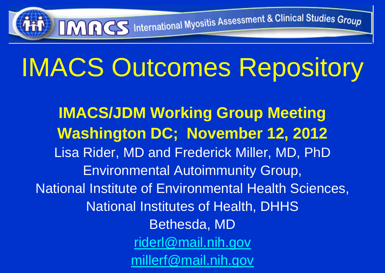# IMACS Outcomes Repository

IMRCS International Myositis Assessment & Clinical Studies Group

**IMACS/JDM Working Group Meeting Washington DC; November 12, 2012** Lisa Rider, MD and Frederick Miller, MD, PhD Environmental Autoimmunity Group, National Institute of Environmental Health Sciences, National Institutes of Health, DHHS Bethesda, MD [riderl@mail.nih.gov](mailto:riderl@mail.nih.gov) millerf@mail.nih.gov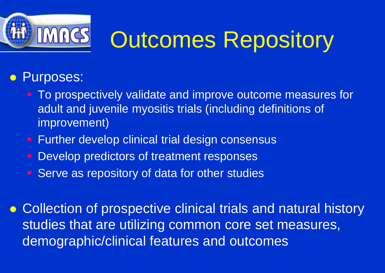

## **IMACS** Outcomes Repository

#### **• Purposes:**

- To prospectively validate and improve outcome measures for adult and juvenile myositis trials (including definitions of improvement)
- **Further develop clinical trial design consensus**
- Develop predictors of treatment responses
- **Serve as repository of data for other studies**

 Collection of prospective clinical trials and natural history studies that are utilizing common core set measures, demographic/clinical features and outcomes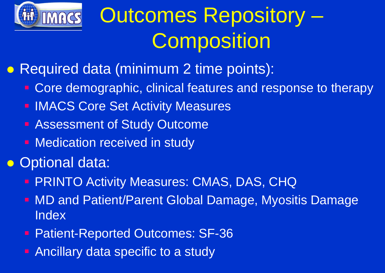

## Outcomes Repository – **Composition**

**• Required data (minimum 2 time points):** 

- **Core demographic, clinical features and response to therapy**
- **IMACS Core Set Activity Measures**
- **Assessment of Study Outcome**
- **Medication received in study**
- Optional data:
	- **PRINTO Activity Measures: CMAS, DAS, CHQ**
	- MD and Patient/Parent Global Damage, Myositis Damage Index
	- **Patient-Reported Outcomes: SF-36**
	- **Ancillary data specific to a study**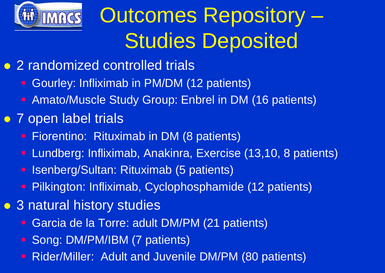

## Outcomes Repository – Studies Deposited

- 2 randomized controlled trials
	- Gourley: Infliximab in PM/DM (12 patients)
	- Amato/Muscle Study Group: Enbrel in DM (16 patients)
- 7 open label trials
	- **Fiorentino: Rituximab in DM (8 patients)**
	- Lundberg: Infliximab, Anakinra, Exercise (13,10, 8 patients)
	- **E Isenberg/Sultan: Rituximab (5 patients)**
	- Pilkington: Infliximab, Cyclophosphamide (12 patients)
- 3 natural history studies
	- Garcia de la Torre: adult DM/PM (21 patients)
	- Song: DM/PM/IBM (7 patients)
	- Rider/Miller: Adult and Juvenile DM/PM (80 patients)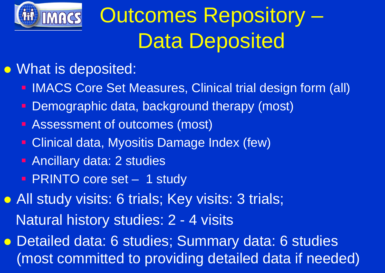

## Outcomes Repository – Data Deposited

- What is deposited:
	- **IMACS Core Set Measures, Clinical trial design form (all)**
	- Demographic data, background therapy (most)
	- **Assessment of outcomes (most)**
	- **Clinical data, Myositis Damage Index (few)**
	- **Ancillary data: 2 studies**
	- **PRINTO core set 1 study**
- All study visits: 6 trials; Key visits: 3 trials; Natural history studies: 2 - 4 visits
- Detailed data: 6 studies; Summary data: 6 studies (most committed to providing detailed data if needed)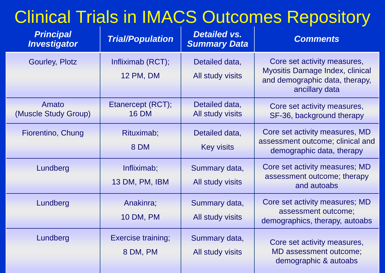#### Clinical Trials in IMACS Outcomes Repository

| <b>Principal</b><br><b>Investigator</b> | <b>Trial/Population</b>               | <b>Detailed vs.</b><br><b>Summary Data</b> | <b>Comments</b>                                                                                                           |
|-----------------------------------------|---------------------------------------|--------------------------------------------|---------------------------------------------------------------------------------------------------------------------------|
| <b>Gourley, Plotz</b>                   | Infliximab (RCT);<br>12 PM, DM        | Detailed data,<br>All study visits         | Core set activity measures,<br><b>Myositis Damage Index, clinical</b><br>and demographic data, therapy,<br>ancillary data |
| Amato<br>(Muscle Study Group)           | Etanercept (RCT);<br><b>16 DM</b>     | Detailed data,<br>All study visits         | Core set activity measures,<br>SF-36, background therapy                                                                  |
| Fiorentino, Chung                       | Rituximab;<br>8 DM                    | Detailed data,<br><b>Key visits</b>        | Core set activity measures, MD<br>assessment outcome; clinical and<br>demographic data, therapy                           |
| Lundberg                                | Infliximab;<br>13 DM, PM, IBM         | Summary data,<br>All study visits          | Core set activity measures; MD<br>assessment outcome; therapy<br>and autoabs                                              |
| Lundberg                                | Anakinra;<br>10 DM, PM                | Summary data,<br>All study visits          | Core set activity measures; MD<br>assessment outcome;<br>demographics, therapy, autoabs                                   |
| Lundberg                                | <b>Exercise training;</b><br>8 DM, PM | Summary data,<br>All study visits          | Core set activity measures,<br>MD assessment outcome;<br>demographic & autoabs                                            |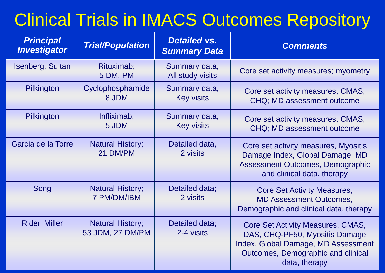#### Clinical Trials in IMACS Outcomes Repository

| <b>Principal</b><br><b>Investigator</b> | <b>Trial/Population</b>                     | <b>Detailed vs.</b><br><b>Summary Data</b> | <b>Comments</b>                                                                                                                                                   |
|-----------------------------------------|---------------------------------------------|--------------------------------------------|-------------------------------------------------------------------------------------------------------------------------------------------------------------------|
| Isenberg, Sultan                        | Rituximab;<br>5 DM, PM                      | Summary data,<br>All study visits          | Core set activity measures; myometry                                                                                                                              |
| Pilkington                              | Cyclophosphamide<br>8 JDM                   | Summary data,<br><b>Key visits</b>         | Core set activity measures, CMAS,<br>CHQ; MD assessment outcome                                                                                                   |
| Pilkington                              | Infliximab;<br>5 JDM                        | Summary data,<br><b>Key visits</b>         | Core set activity measures, CMAS,<br>CHQ; MD assessment outcome                                                                                                   |
| Garcia de la Torre                      | <b>Natural History;</b><br>21 DM/PM         | Detailed data,<br>2 visits                 | Core set activity measures, Myositis<br>Damage Index, Global Damage, MD<br>Assessment Outcomes, Demographic<br>and clinical data, therapy                         |
| Song                                    | <b>Natural History;</b><br>7 PM/DM/IBM      | Detailed data;<br>2 visits                 | <b>Core Set Activity Measures,</b><br><b>MD Assessment Outcomes,</b><br>Demographic and clinical data, therapy                                                    |
| <b>Rider, Miller</b>                    | <b>Natural History;</b><br>53 JDM, 27 DM/PM | Detailed data;<br>2-4 visits               | Core Set Activity Measures, CMAS,<br>DAS, CHQ-PF50, Myositis Damage<br>Index, Global Damage, MD Assessment<br>Outcomes, Demographic and clinical<br>data, therapy |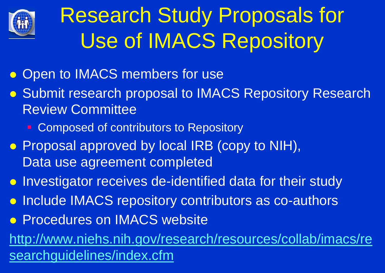

## Research Study Proposals for Use of IMACS Repository

- Open to IMACS members for use
- **Submit research proposal to IMACS Repository Research** Review Committee
	- Composed of contributors to Repository
- Proposal approved by local IRB (copy to NIH), Data use agreement completed
- **Investigator receives de-identified data for their study**
- **Include IMACS repository contributors as co-authors**
- **Procedures on IMACS website**

http://www.niehs.nih.gov/research/resources/collab/imacs/re searchguidelines/index.cfm